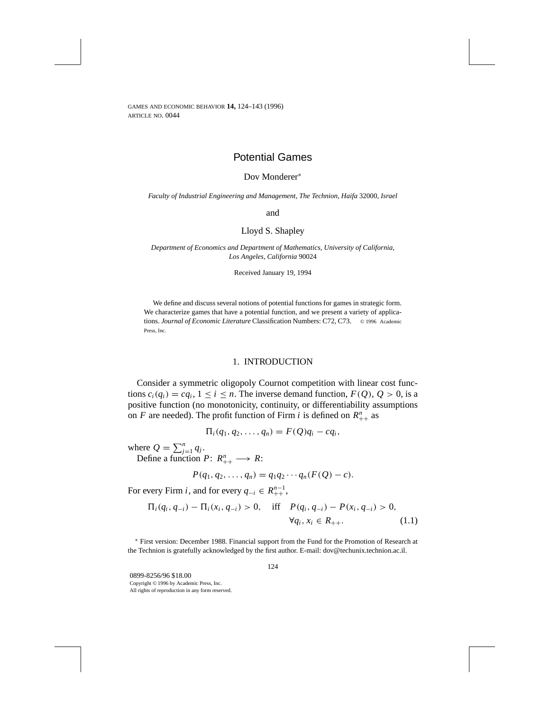# Potential Games

### Dov Monderer<sup>∗</sup>

*Faculty of Industrial Engineering and Management*, *The Technion*, *Haifa* 32000, *Israel*

and

### Lloyd S. Shapley

*Department of Economics and Department of Mathematics*, *University of California*, *Los Angeles*, *California* 90024

Received January 19, 1994

We define and discuss several notions of potential functions for games in strategic form. We characterize games that have a potential function, and we present a variety of applications. *Journal of Economic Literature* Classification Numbers: C72, C73. © 1996 Academic Press, Inc.

#### 1. INTRODUCTION

Consider a symmetric oligopoly Cournot competition with linear cost functions  $c_i(q_i) = cq_i$ ,  $1 \le i \le n$ . The inverse demand function,  $F(Q)$ ,  $Q > 0$ , is a positive function (no monotonicity, continuity, or differentiability assumptions on *F* are needed). The profit function of Firm *i* is defined on  $R_{++}^n$  as

$$
\Pi_i(q_1,q_2,\ldots,q_n)=F(Q)q_i-cq_i,
$$

where  $Q = \sum_{j=1}^{n} q_j$ .

Define a function  $P: R_{++}^n \longrightarrow R$ :

$$
P(q_1, q_2, \ldots, q_n) = q_1 q_2 \cdots q_n (F(Q) - c).
$$

For every Firm *i*, and for every  $q_{-i} \in R_{++}^{n-1}$ ,

$$
\Pi_i(q_i, q_{-i}) - \Pi_i(x_i, q_{-i}) > 0, \quad \text{iff} \quad P(q_i, q_{-i}) - P(x_i, q_{-i}) > 0, \n\forall q_i, x_i \in R_{++}.
$$
\n(1.1)

<sup>∗</sup> First version: December 1988. Financial support from the Fund for the Promotion of Research at the Technion is gratefully acknowledged by the first author. E-mail: dov@techunix.technion.ac.il.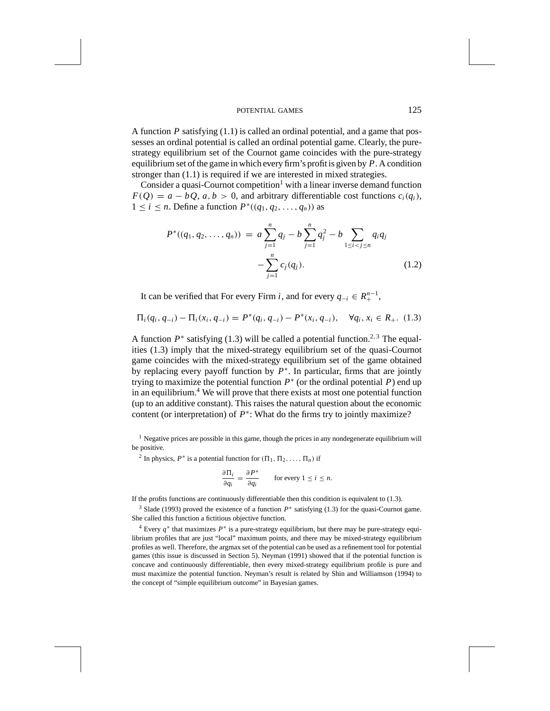A function *P* satisfying (1.1) is called an ordinal potential, and a game that possesses an ordinal potential is called an ordinal potential game. Clearly, the purestrategy equilibrium set of the Cournot game coincides with the pure-strategy equilibrium set of the game in which every firm's profit is given by *P*. A condition stronger than (1.1) is required if we are interested in mixed strategies.

Consider a quasi-Cournot competition<sup>1</sup> with a linear inverse demand function  $F(O) = a - bO$ ,  $a, b > 0$ , and arbitrary differentiable cost functions  $c_i(q_i)$ ,  $1 \leq i \leq n$ . Define a function  $P^*(q_1, q_2, \ldots, q_n)$  as

$$
P^*((q_1, q_2, \dots, q_n)) = a \sum_{j=1}^n q_j - b \sum_{j=1}^n q_j^2 - b \sum_{1 \le i < j \le n} q_i q_j - \sum_{j=1}^n c_j(q_j). \tag{1.2}
$$

It can be verified that For every Firm *i*, and for every  $q_{-i} \in R_+^{n-1}$ ,

$$
\Pi_i(q_i, q_{-i}) - \Pi_i(x_i, q_{-i}) = P^*(q_i, q_{-i}) - P^*(x_i, q_{-i}), \quad \forall q_i, x_i \in R_+. \tag{1.3}
$$

A function  $P^*$  satisfying (1.3) will be called a potential function.<sup>2,3</sup> The equalities (1.3) imply that the mixed-strategy equilibrium set of the quasi-Cournot game coincides with the mixed-strategy equilibrium set of the game obtained by replacing every payoff function by *P*<sup>∗</sup>. In particular, firms that are jointly trying to maximize the potential function  $P^*$  (or the ordinal potential  $P$ ) end up in an equilibrium.4 We will prove that there exists at most one potential function (up to an additive constant). This raises the natural question about the economic content (or interpretation) of *P*<sup>∗</sup>: What do the firms try to jointly maximize?

<sup>1</sup> Negative prices are possible in this game, though the prices in any nondegenerate equilibrium will be positive.

<sup>2</sup> In physics,  $P^*$  is a potential function for  $(\Pi_1, \Pi_2, \ldots, \Pi_n)$  if

$$
\frac{\partial \Pi_i}{\partial q_i} = \frac{\partial P^*}{\partial q_i} \qquad \text{for every } 1 \le i \le n.
$$

If the profits functions are continuously differentiable then this condition is equivalent to (1.3).

<sup>3</sup> Slade (1993) proved the existence of a function *P*<sup>∗</sup> satisfying (1.3) for the quasi-Cournot game. She called this function a fictitious objective function.

<sup>4</sup> Every *q*<sup>∗</sup> that maximizes *P*<sup>∗</sup> is a pure-strategy equilibrium, but there may be pure-strategy equilibrium profiles that are just "local" maximum points, and there may be mixed-strategy equilibrium profiles as well. Therefore, the argmax set of the potential can be used as a refinement tool for potential games (this issue is discussed in Section 5). Neyman (1991) showed that if the potential function is concave and continuously differentiable, then every mixed-strategy equilibrium profile is pure and must maximize the potential function. Neyman's result is related by Shin and Williamson (1994) to the concept of "simple equilibrium outcome" in Bayesian games.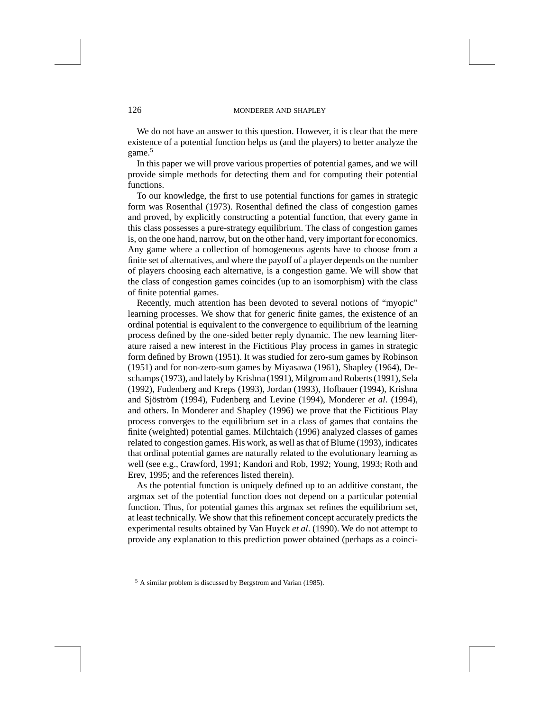We do not have an answer to this question. However, it is clear that the mere existence of a potential function helps us (and the players) to better analyze the game.<sup>5</sup>

In this paper we will prove various properties of potential games, and we will provide simple methods for detecting them and for computing their potential functions.

To our knowledge, the first to use potential functions for games in strategic form was Rosenthal (1973). Rosenthal defined the class of congestion games and proved, by explicitly constructing a potential function, that every game in this class possesses a pure-strategy equilibrium. The class of congestion games is, on the one hand, narrow, but on the other hand, very important for economics. Any game where a collection of homogeneous agents have to choose from a finite set of alternatives, and where the payoff of a player depends on the number of players choosing each alternative, is a congestion game. We will show that the class of congestion games coincides (up to an isomorphism) with the class of finite potential games.

Recently, much attention has been devoted to several notions of "myopic" learning processes. We show that for generic finite games, the existence of an ordinal potential is equivalent to the convergence to equilibrium of the learning process defined by the one-sided better reply dynamic. The new learning literature raised a new interest in the Fictitious Play process in games in strategic form defined by Brown (1951). It was studied for zero-sum games by Robinson (1951) and for non-zero-sum games by Miyasawa (1961), Shapley (1964), Deschamps (1973), and lately by Krishna (1991), Milgrom and Roberts (1991), Sela (1992), Fudenberg and Kreps (1993), Jordan (1993), Hofbauer (1994), Krishna and Sjöström (1994), Fudenberg and Levine (1994), Monderer *et al.* (1994), and others. In Monderer and Shapley (1996) we prove that the Fictitious Play process converges to the equilibrium set in a class of games that contains the finite (weighted) potential games. Milchtaich (1996) analyzed classes of games related to congestion games. His work, as well as that of Blume (1993), indicates that ordinal potential games are naturally related to the evolutionary learning as well (see e.g., Crawford, 1991; Kandori and Rob, 1992; Young, 1993; Roth and Erev, 1995; and the references listed therein).

As the potential function is uniquely defined up to an additive constant, the argmax set of the potential function does not depend on a particular potential function. Thus, for potential games this argmax set refines the equilibrium set, at least technically. We show that this refinement concept accurately predicts the experimental results obtained by Van Huyck *et al*. (1990). We do not attempt to provide any explanation to this prediction power obtained (perhaps as a coinci-

<sup>5</sup> A similar problem is discussed by Bergstrom and Varian (1985).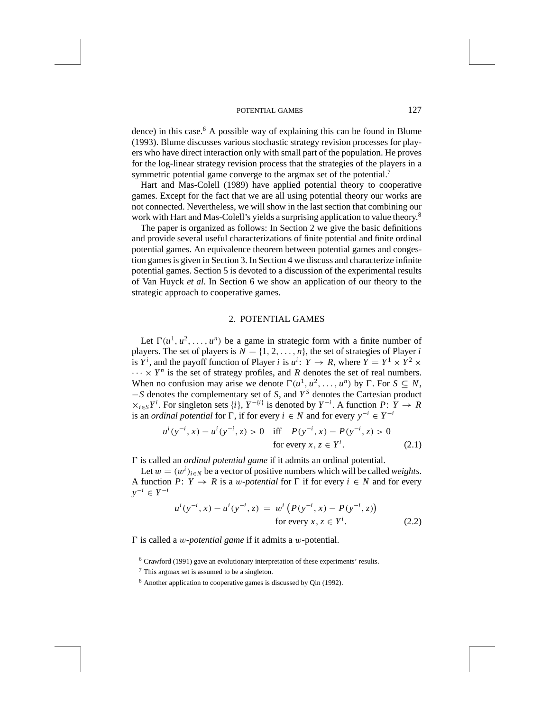dence) in this case.<sup>6</sup> A possible way of explaining this can be found in Blume (1993). Blume discusses various stochastic strategy revision processes for players who have direct interaction only with small part of the population. He proves for the log-linear strategy revision process that the strategies of the players in a symmetric potential game converge to the argmax set of the potential.<sup>7</sup>

Hart and Mas-Colell (1989) have applied potential theory to cooperative games. Except for the fact that we are all using potential theory our works are not connected. Nevertheless, we will show in the last section that combining our work with Hart and Mas-Colell's yields a surprising application to value theory.<sup>8</sup>

The paper is organized as follows: In Section 2 we give the basic definitions and provide several useful characterizations of finite potential and finite ordinal potential games. An equivalence theorem between potential games and congestion games is given in Section 3. In Section 4 we discuss and characterize infinite potential games. Section 5 is devoted to a discussion of the experimental results of Van Huyck *et al*. In Section 6 we show an application of our theory to the strategic approach to cooperative games.

### 2. POTENTIAL GAMES

Let  $\Gamma(u^1, u^2, \ldots, u^n)$  be a game in strategic form with a finite number of players. The set of players is  $N = \{1, 2, ..., n\}$ , the set of strategies of Player *i* is  $Y^i$ , and the payoff function of Player *i* is  $u^i: Y \to R$ , where  $Y = Y^1 \times Y^2 \times$  $\cdots \times Y^n$  is the set of strategy profiles, and *R* denotes the set of real numbers. When no confusion may arise we denote  $\Gamma(u^1, u^2, \ldots, u^n)$  by  $\Gamma$ . For  $S \subseteq N$ , −*S* denotes the complementary set of *S*, and *Y <sup>S</sup>* denotes the Cartesian product  $\times_{i \in S} Y^i$ . For singleton sets {*i*},  $Y^{-\{i\}}$  is denoted by  $Y^{-i}$ . A function  $P: Y \to R$ is an *ordinal potential* for  $\Gamma$ , if for every *i* ∈ *N* and for every  $y^{-i}$  ∈  $Y^{-i}$ 

$$
u^{i}(y^{-i}, x) - u^{i}(y^{-i}, z) > 0 \quad \text{iff} \quad P(y^{-i}, x) - P(y^{-i}, z) > 0
$$
  
for every  $x, z \in Y^{i}$ . (2.1)

*0* is called an *ordinal potential game* if it admits an ordinal potential.

Let  $w = (w^i)_{i \in N}$  be a vector of positive numbers which will be called *weights*. A function *P*:  $Y \rightarrow R$  is a *w*-potential for  $\Gamma$  if for every  $i \in N$  and for every *y*<sup>−</sup>*<sup>i</sup>* ∈ *Y* <sup>−</sup>*<sup>i</sup>*

$$
u^{i}(y^{-i}, x) - u^{i}(y^{-i}, z) = w^{i}(P(y^{-i}, x) - P(y^{-i}, z))
$$
  
for every  $x, z \in Y^{i}$ . (2.2)

*0* is called a *w-potential game* if it admits a *w*-potential.

<sup>6</sup> Crawford (1991) gave an evolutionary interpretation of these experiments' results.

<sup>7</sup> This argmax set is assumed to be a singleton.

<sup>8</sup> Another application to cooperative games is discussed by Qin (1992).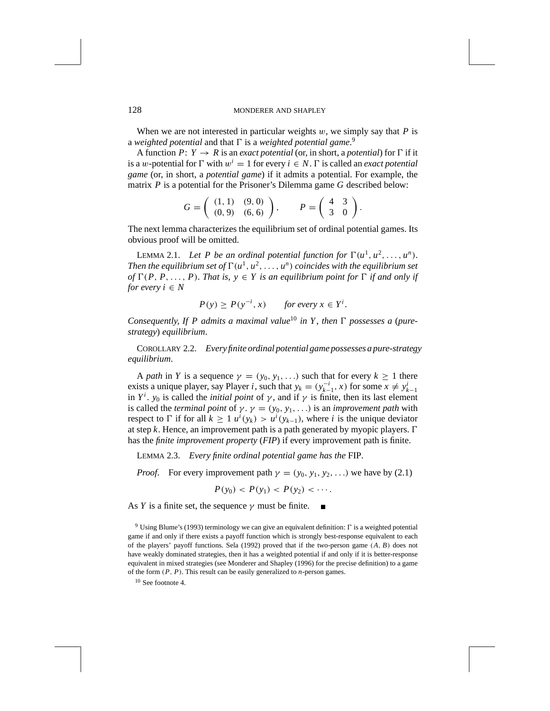When we are not interested in particular weights  $w$ , we simply say that  $P$  is a *weighted potential* and that  $\Gamma$  is a *weighted potential game.*<sup>9</sup>

A function  $P: Y \to R$  is an *exact potential* (or, in short, a *potential*) for  $\Gamma$  if it is a *w*-potential for  $\Gamma$  with  $w^i = 1$  for every  $i \in N$ .  $\Gamma$  is called an *exact potential game* (or, in short, a *potential game*) if it admits a potential. For example, the matrix *P* is a potential for the Prisoner's Dilemma game *G* described below:

$$
G = \left( \begin{array}{cc} (1,1) & (9,0) \\ (0,9) & (6,6) \end{array} \right), \qquad P = \left( \begin{array}{cc} 4 & 3 \\ 3 & 0 \end{array} \right).
$$

The next lemma characterizes the equilibrium set of ordinal potential games. Its obvious proof will be omitted.

LEMMA 2.1. Let P be an ordinal potential function for  $\Gamma(u^1, u^2, \ldots, u^n)$ . *Then the equilibrium set of*  $\Gamma(u^1, u^2, \ldots, u^n)$  *coincides with the equilibrium set of*  $\Gamma(P, P, \ldots, P)$ . *That is,*  $y \in Y$  *is an equilibrium point for*  $\Gamma$  *if and only if for every*  $i \in N$ 

$$
P(y) \ge P(y^{-i}, x) \quad \text{for every } x \in Y^i.
$$

*Consequently, If P admits a maximal value*<sup>10</sup> *in Y, then*  $\Gamma$  *possesses a (purestrategy*) *equilibrium*.

COROLLARY 2.2. *Every finite ordinal potential game possesses a pure-strategy equilibrium*.

A *path* in *Y* is a sequence  $\gamma = (y_0, y_1, \ldots)$  such that for every  $k \ge 1$  there exists a unique player, say Player *i*, such that  $y_k = (y_{k-1}^{-i}, x)$  for some  $x \neq y_{k-1}^{i}$ in  $Y^i$ .  $y_0$  is called the *initial point* of  $\gamma$ , and if  $\gamma$  is finite, then its last element is called the *terminal point* of  $\gamma \cdot \gamma = (y_0, y_1, \ldots)$  is an *improvement path* with respect to  $\Gamma$  if for all  $k \geq 1$   $u^i(y_k) > u^i(y_{k-1})$ , where *i* is the unique deviator at step *k*. Hence, an improvement path is a path generated by myopic players.  $\Gamma$ has the *finite improvement property* (*FIP*) if every improvement path is finite.

LEMMA 2.3. *Every finite ordinal potential game has the* FIP.

*Proof.* For every improvement path  $\gamma = (y_0, y_1, y_2, \ldots)$  we have by (2.1)

$$
P(y_0) < P(y_1) < P(y_2) < \cdots
$$

As *Y* is a finite set, the sequence  $\gamma$  must be finite.

<sup>9</sup> Using Blume's (1993) terminology we can give an equivalent definition: *0* is a weighted potential game if and only if there exists a payoff function which is strongly best-response equivalent to each of the players' payoff functions. Sela (1992) proved that if the two-person game  $(A, B)$  does not have weakly dominated strategies, then it has a weighted potential if and only if it is better-response equivalent in mixed strategies (see Monderer and Shapley (1996) for the precise definition) to a game of the form *(P, P)*. This result can be easily generalized to *n*-person games.

 $10$  See footnote 4.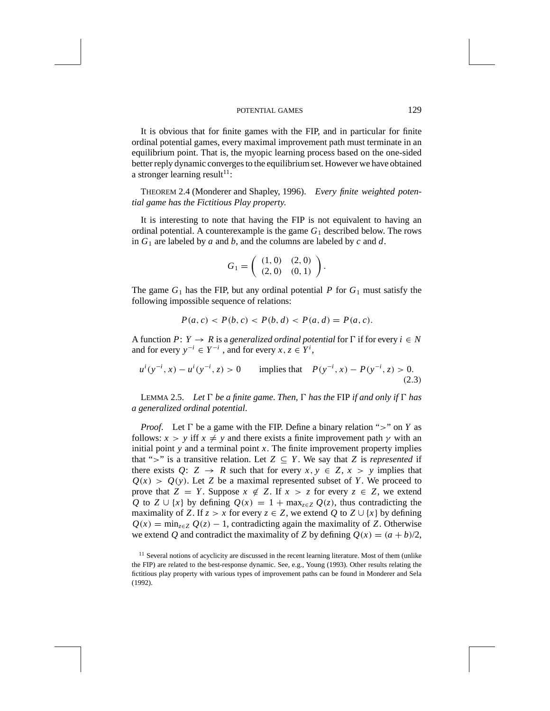It is obvious that for finite games with the FIP, and in particular for finite ordinal potential games, every maximal improvement path must terminate in an equilibrium point. That is, the myopic learning process based on the one-sided better reply dynamic converges to the equilibrium set. However we have obtained a stronger learning result<sup>11</sup>:

THEOREM 2.4 (Monderer and Shapley, 1996). *Every finite weighted potential game has the Fictitious Play property*.

It is interesting to note that having the FIP is not equivalent to having an ordinal potential. A counterexample is the game  $G_1$  described below. The rows in *G*<sup>1</sup> are labeled by *a* and *b*, and the columns are labeled by *c* and *d*.

$$
G_1 = \left( \begin{array}{cc} (1,0) & (2,0) \\ (2,0) & (0,1) \end{array} \right).
$$

The game  $G_1$  has the FIP, but any ordinal potential P for  $G_1$  must satisfy the following impossible sequence of relations:

$$
P(a, c) < P(b, c) < P(b, d) < P(a, d) = P(a, c).
$$

A function *P*:  $Y \rightarrow R$  is a generalized ordinal potential for  $\Gamma$  if for every  $i \in N$ and for every  $y^{-i} \in Y^{-i}$ , and for every  $x, z \in Y^i$ ,

 $u^{i}(y^{-i}, x) - u^{i}(y^{-i}, z) > 0$  implies that  $P(y^{-i}, x) - P(y^{-i}, z) > 0$ . *(*2*.*3*)*

LEMMA 2.5. Let  $\Gamma$  be a finite game. Then,  $\Gamma$  has the FIP if and only if  $\Gamma$  has *a generalized ordinal potential*.

*Proof.* Let  $\Gamma$  be a game with the FIP. Define a binary relation ">" on *Y* as follows:  $x > y$  iff  $x \neq y$  and there exists a finite improvement path  $\gamma$  with an initial point  $y$  and a terminal point  $x$ . The finite improvement property implies that ">" is a transitive relation. Let  $Z \subseteq Y$ . We say that *Z* is *represented* if there exists  $Q: Z \rightarrow R$  such that for every  $x, y \in Z, x > y$  implies that  $Q(x) > Q(y)$ . Let *Z* be a maximal represented subset of *Y*. We proceed to prove that  $Z = Y$ . Suppose  $x \notin Z$ . If  $x > z$  for every  $z \in Z$ , we extend *Q* to *Z* ∪ {*x*} by defining  $Q(x) = 1 + \max_{z \in Z} Q(z)$ , thus contradicting the maximality of *Z*. If  $z > x$  for every  $z \in Z$ , we extend *Q* to  $Z \cup \{x\}$  by defining  $Q(x) = \min_{z \in Z} Q(z) - 1$ , contradicting again the maximality of *Z*. Otherwise we extend *Q* and contradict the maximality of *Z* by defining  $Q(x) = (a + b)/2$ ,

 $11$  Several notions of acyclicity are discussed in the recent learning literature. Most of them (unlike the FIP) are related to the best-response dynamic. See, e.g., Young (1993). Other results relating the fictitious play property with various types of improvement paths can be found in Monderer and Sela (1992).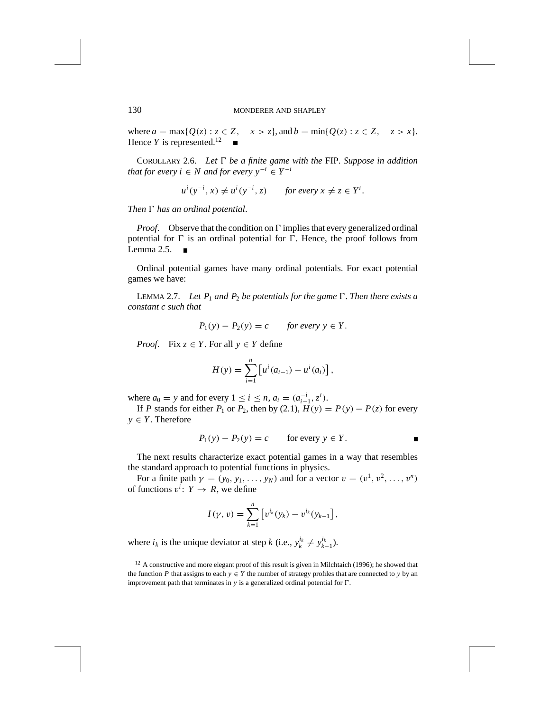where  $a = \max\{Q(z) : z \in Z, \quad x > z\}$ , and  $b = \min\{Q(z) : z \in Z, \quad z > x\}$ . Hence  $Y$  is represented.<sup>12</sup>

COROLLARY 2.6. Let  $\Gamma$  be a finite game with the FIP. Suppose in addition *that for every i*  $\in N$  *and for every*  $y^{-i} \in Y^{-i}$ 

 $u^{i}(y^{-i}, x) \neq u^{i}(y^{-i}, z)$  *for every*  $x \neq z \in Y^{i}$ .

*Then*  $\Gamma$  *has an ordinal potential.* 

*Proof.* Observe that the condition on  $\Gamma$  implies that every generalized ordinal potential for  $\Gamma$  is an ordinal potential for  $\Gamma$ . Hence, the proof follows from Lemma  $2.5.$ 

Ordinal potential games have many ordinal potentials. For exact potential games we have:

LEMMA 2.7. Let  $P_1$  and  $P_2$  be potentials for the game  $\Gamma$ . Then there exists a *constant c such that*

$$
P_1(y) - P_2(y) = c \quad \text{for every } y \in Y.
$$

*Proof.* Fix  $z \in Y$ . For all  $y \in Y$  define

$$
H(y) = \sum_{i=1}^{n} \left[ u^{i}(a_{i-1}) - u^{i}(a_{i}) \right],
$$

where  $a_0 = y$  and for every  $1 \le i \le n$ ,  $a_i = (a_{i-1}^{-i}, z^i)$ .

If *P* stands for either  $P_1$  or  $P_2$ , then by (2.1),  $H(y) = P(y) - P(z)$  for every  $y \in Y$ . Therefore

$$
P_1(y) - P_2(y) = c \qquad \text{for every } y \in Y.
$$

The next results characterize exact potential games in a way that resembles the standard approach to potential functions in physics.

For a finite path  $\gamma = (y_0, y_1, \ldots, y_N)$  and for a vector  $v = (v^1, v^2, \ldots, v^n)$ of functions  $v^i: Y \to R$ , we define

$$
I(\gamma, v) = \sum_{k=1}^{n} \left[ v^{i_k}(y_k) - v^{i_k}(y_{k-1}) \right],
$$

where  $i_k$  is the unique deviator at step  $k$  (i.e.,  $y_k^{i_k} \neq y_{k-1}^{i_k}$ ).

 $12$  A constructive and more elegant proof of this result is given in Milchtaich (1996); he showed that the function *P* that assigns to each  $y \in Y$  the number of strategy profiles that are connected to *y* by an improvement path that terminates in  $y$  is a generalized ordinal potential for  $\Gamma$ .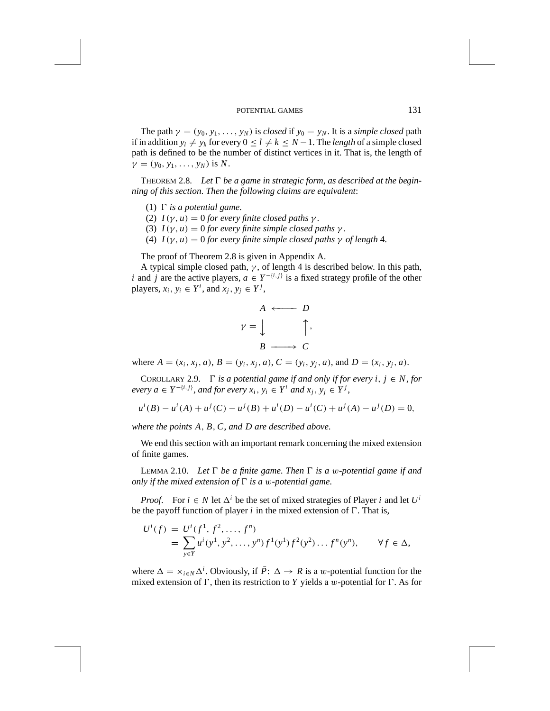The path  $\gamma = (y_0, y_1, \ldots, y_N)$  is *closed* if  $y_0 = y_N$ . It is a *simple closed* path if in addition  $y_l \neq y_k$  for every  $0 \leq l \neq k \leq N-1$ . The *length* of a simple closed path is defined to be the number of distinct vertices in it. That is, the length of  $\gamma = (y_0, y_1, \ldots, y_N)$  is *N*.

THEOREM 2.8. Let  $\Gamma$  be a game in strategic form, as described at the begin*ning of this section*. *Then the following claims are equivalent*:

- (1)  $\Gamma$  *is a potential game.*
- (2)  $I(\gamma, u) = 0$  *for every finite closed paths*  $\gamma$ .
- (3)  $I(\gamma, u) = 0$  *for every finite simple closed paths*  $\gamma$ .
- (4)  $I(\gamma, u) = 0$  *for every finite simple closed paths*  $\gamma$  *of length* 4.

The proof of Theorem 2.8 is given in Appendix A.

A typical simple closed path,  $\gamma$ , of length 4 is described below. In this path, *i* and *j* are the active players,  $a \in Y^{-\{i,j\}}$  is a fixed strategy profile of the other players,  $x_i$ ,  $y_i \in Y^i$ , and  $x_j$ ,  $y_j \in Y^j$ ,



where  $A = (x_i, x_j, a), B = (y_i, x_j, a), C = (y_i, y_j, a),$  and  $D = (x_i, y_j, a)$ .

COROLLARY 2.9.  $\Gamma$  *is a potential game if and only if for every i*,  $j \in N$ , *for every*  $a \in Y^{-\{i,j\}}$ , and for every  $x_i, y_i \in Y^i$  and  $x_j, y_j \in Y^j$ ,

$$
u^{i}(B) - u^{i}(A) + u^{j}(C) - u^{j}(B) + u^{i}(D) - u^{i}(C) + u^{j}(A) - u^{j}(D) = 0,
$$

*where the points A, B,C*, *and D are described above*.

We end this section with an important remark concerning the mixed extension of finite games.

LEMMA 2.10. *Let*  $\Gamma$  *be a finite game. Then*  $\Gamma$  *is a w-potential game if and only if the mixed extension of*  $\Gamma$  *is a w-potential game.* 

*Proof.* For  $i \in N$  let  $\Delta^{i}$  be the set of mixed strategies of Player *i* and let  $U^{i}$ be the payoff function of player  $i$  in the mixed extension of  $\Gamma$ . That is,

$$
U^{i}(f) = U^{i}(f^{1}, f^{2}, \dots, f^{n})
$$
  
= 
$$
\sum_{y \in Y} u^{i}(y^{1}, y^{2}, \dots, y^{n}) f^{1}(y^{1}) f^{2}(y^{2}) \dots f^{n}(y^{n}), \qquad \forall f \in \Delta,
$$

where  $\Delta = \times_{i \in N} \Delta^i$ . Obviously, if  $\overline{P}$ :  $\Delta \rightarrow R$  is a *w*-potential function for the mixed extension of  $\Gamma$ , then its restriction to *Y* yields a *w*-potential for  $\Gamma$ . As for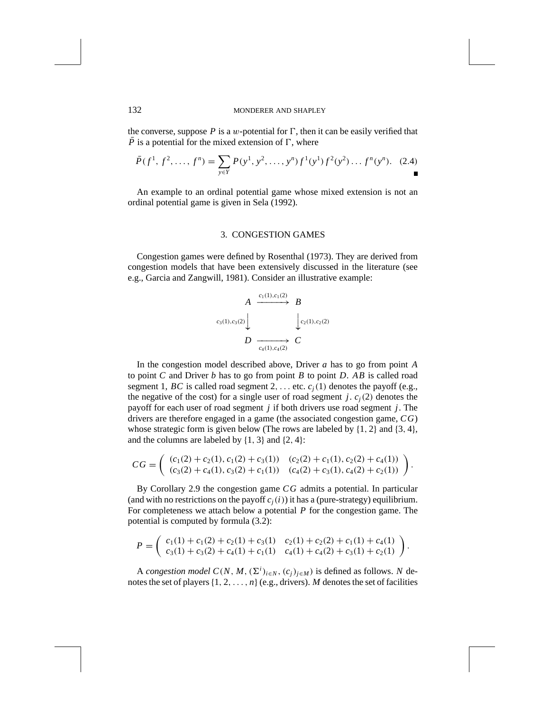the converse, suppose  $P$  is a *w*-potential for  $\Gamma$ , then it can be easily verified that  $\overline{P}$  is a potential for the mixed extension of  $\Gamma$ , where

$$
\bar{P}(f^1, f^2, \dots, f^n) = \sum_{y \in Y} P(y^1, y^2, \dots, y^n) f^1(y^1) f^2(y^2) \dots f^n(y^n). \tag{2.4}
$$

An example to an ordinal potential game whose mixed extension is not an ordinal potential game is given in Sela (1992).

### 3. CONGESTION GAMES

Congestion games were defined by Rosenthal (1973). They are derived from congestion models that have been extensively discussed in the literature (see e.g., Garcia and Zangwill, 1981). Consider an illustrative example:

$$
A \xrightarrow{c_1(1), c_1(2)} B
$$
  
\n
$$
c_3(1), c_3(2) \downarrow \qquad \qquad \downarrow c_2(1), c_2(2)
$$
  
\n
$$
D \xrightarrow[c_4(1), c_4(2))} C
$$

In the congestion model described above, Driver *a* has to go from point *A* to point *C* and Driver *b* has to go from point *B* to point *D*. *AB* is called road segment 1, *BC* is called road segment 2, ... etc.  $c_i(1)$  denotes the payoff (e.g., the negative of the cost) for a single user of road segment *j*.  $c<sub>i</sub>(2)$  denotes the payoff for each user of road segment *j* if both drivers use road segment *j*. The drivers are therefore engaged in a game (the associated congestion game, *CG*) whose strategic form is given below (The rows are labeled by {1*,* 2} and {3*,* 4}, and the columns are labeled by {1*,* 3} and {2*,* 4}:

$$
CG = \left( \begin{array}{cc} (c_1(2) + c_2(1), c_1(2) + c_3(1)) & (c_2(2) + c_1(1), c_2(2) + c_4(1)) \\ (c_3(2) + c_4(1), c_3(2) + c_1(1)) & (c_4(2) + c_3(1), c_4(2) + c_2(1)) \end{array} \right).
$$

By Corollary 2.9 the congestion game *CG* admits a potential. In particular (and with no restrictions on the payoff  $c_i(i)$ ) it has a (pure-strategy) equilibrium. For completeness we attach below a potential *P* for the congestion game. The potential is computed by formula (3.2):

$$
P = \begin{pmatrix} c_1(1) + c_1(2) + c_2(1) + c_3(1) & c_2(1) + c_2(2) + c_1(1) + c_4(1) \\ c_3(1) + c_3(2) + c_4(1) + c_1(1) & c_4(1) + c_4(2) + c_3(1) + c_2(1) \end{pmatrix}.
$$

A *congestion model*  $C(N, M, (\Sigma^i)_{i \in N}, (c_j)_{j \in M})$  is defined as follows. *N* denotes the set of players{1*,* 2*,..., n*}(e.g., drivers). *M* denotes the set of facilities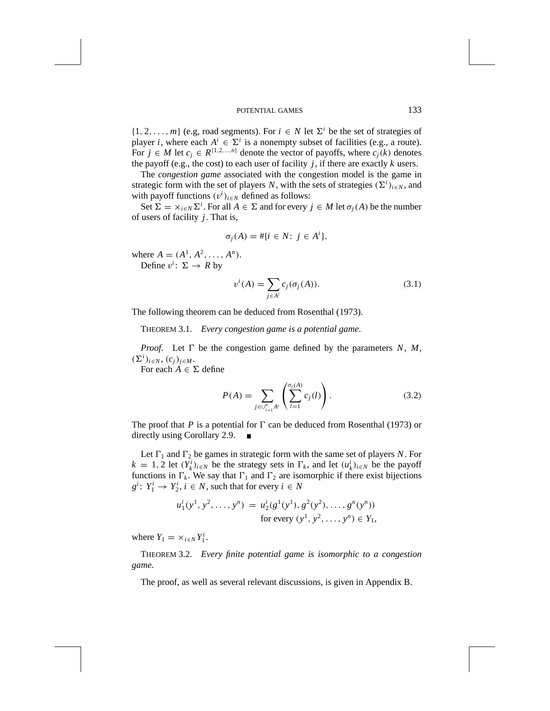$\{1, 2, \ldots, m\}$  (e.g, road segments). For  $i \in N$  let  $\Sigma^{i}$  be the set of strategies of player *i*, where each  $A^i \in \Sigma^i$  is a nonempty subset of facilities (e.g., a route). For  $j \in M$  let  $c_j \in R^{\{1,2,\ldots,n\}}$  denote the vector of payoffs, where  $c_j(k)$  denotes the payoff (e.g., the cost) to each user of facility  $j$ , if there are exactly  $k$  users.

The *congestion game* associated with the congestion model is the game in strategic form with the set of players *N*, with the sets of strategies  $(\Sigma^{i})_{i \in N}$ , and with payoff functions  $(v^i)_{i \in N}$  defined as follows:

Set  $\Sigma = \times_{i \in N} \Sigma^i$ . For all  $A \in \Sigma$  and for every  $j \in M$  let  $\sigma_j(A)$  be the number of users of facility *j*. That is,

$$
\sigma_j(A) = #\{i \in N: j \in A^i\},\
$$

where  $A = (A^1, A^2, \ldots, A^n)$ . Define  $v^i: \Sigma \rightarrow R$  by

$$
v^{i}(A) = \sum_{j \in A^{i}} c_{j}(\sigma_{j}(A)).
$$
\n(3.1)

The following theorem can be deduced from Rosenthal (1973).

THEOREM 3.1. *Every congestion game is a potential game*.

*Proof.* Let  $\Gamma$  be the congestion game defined by the parameters *N*, *M*,  $(\Sigma^{i})_{i \in N}, (c_{j})_{j \in M}$ .

For each  $A \in \Sigma$  define

$$
P(A) = \sum_{j \in \bigcup_{i=1}^{n} A^i} \left( \sum_{l=1}^{\sigma_j(A)} c_j(l) \right). \tag{3.2}
$$

The proof that *P* is a potential for  $\Gamma$  can be deduced from Rosenthal (1973) or directly using Corollary 2.9.  $\blacksquare$ 

Let  $\Gamma_1$  and  $\Gamma_2$  be games in strategic form with the same set of players *N*. For  $k = 1, 2$  let  $(Y_k^i)_{i \in N}$  be the strategy sets in  $\Gamma_k$ , and let  $(u_k^i)_{i \in N}$  be the payoff functions in  $\Gamma_k$ . We say that  $\Gamma_1$  and  $\Gamma_2$  are isomorphic if there exist bijections  $g^i$ :  $Y_1^i \rightarrow Y_2^i$ ,  $i \in N$ , such that for every  $i \in N$ 

$$
u_1^i(y^1, y^2, \dots, y^n) = u_2^i(g^1(y^1), g^2(y^2), \dots, g^n(y^n))
$$
  
for every  $(y^1, y^2, \dots, y^n) \in Y_1$ ,

where  $Y_1 = \times_{i \in N} Y_1^i$ .

THEOREM 3.2. *Every finite potential game is isomorphic to a congestion game*.

The proof, as well as several relevant discussions, is given in Appendix B.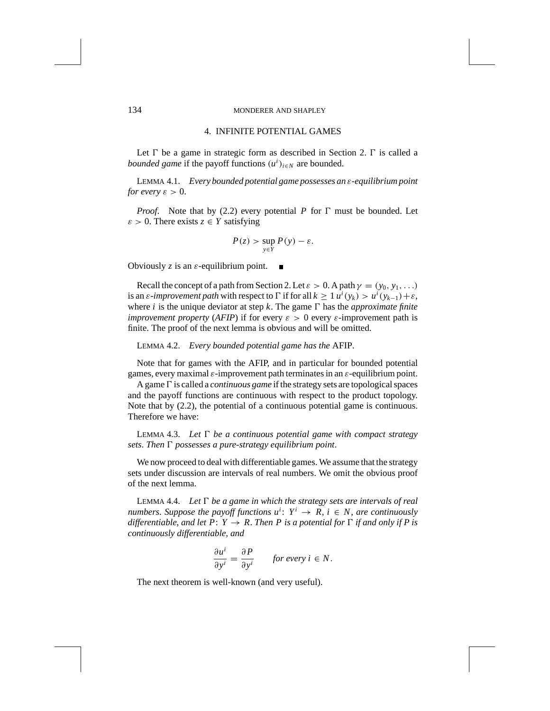### 4. INFINITE POTENTIAL GAMES

Let  $\Gamma$  be a game in strategic form as described in Section 2.  $\Gamma$  is called a *bounded game* if the payoff functions  $(u^i)_{i \in N}$  are bounded.

LEMMA 4.1. *Every bounded potential game possesses an ε-equilibrium point for every*  $\varepsilon > 0$ .

*Proof.* Note that by (2.2) every potential *P* for  $\Gamma$  must be bounded. Let  $\varepsilon > 0$ . There exists  $z \in Y$  satisfying

$$
P(z) > \sup_{y \in Y} P(y) - \varepsilon.
$$

Obviously *z* is an *ε*-equilibrium point.

Recall the concept of a path from Section 2. Let  $\varepsilon > 0$ . A path  $\gamma = (y_0, y_1, \ldots)$ is an *ε-improvement path* with respect to  $\Gamma$  if for all  $k \geq 1$   $u^i(y_k) > u^i(y_{k-1}) + \varepsilon$ , where *i* is the unique deviator at step *k*. The game  $\Gamma$  has the *approximate finite improvement property* (*AFIP*) if for every  $\varepsilon > 0$  every  $\varepsilon$ -improvement path is finite. The proof of the next lemma is obvious and will be omitted.

LEMMA 4.2. *Every bounded potential game has the* AFIP.

Note that for games with the AFIP, and in particular for bounded potential games, every maximal *ε*-improvement path terminates in an *ε*-equilibrium point.

A game*0* is called a *continuous game* if the strategy sets are topological spaces and the payoff functions are continuous with respect to the product topology. Note that by (2.2), the potential of a continuous potential game is continuous. Therefore we have:

LEMMA 4.3. Let  $\Gamma$  be a continuous potential game with compact strategy  $sets.$  Then  $\Gamma$  possesses a pure-strategy equilibrium point.

We now proceed to deal with differentiable games. We assume that the strategy sets under discussion are intervals of real numbers. We omit the obvious proof of the next lemma.

LEMMA 4.4. Let  $\Gamma$  be a game in which the strategy sets are intervals of real *numbers. Suppose the payoff functions*  $u^i$ :  $Y^i \rightarrow R$ ,  $i \in N$ , are continuously *differentiable, and let P: Y*  $\rightarrow$  *R. Then P is a potential for*  $\Gamma$  *if and only if* P *is continuously differentiable*, *and*

$$
\frac{\partial u^i}{\partial y^i} = \frac{\partial P}{\partial y^i} \qquad \text{for every } i \in N.
$$

The next theorem is well-known (and very useful).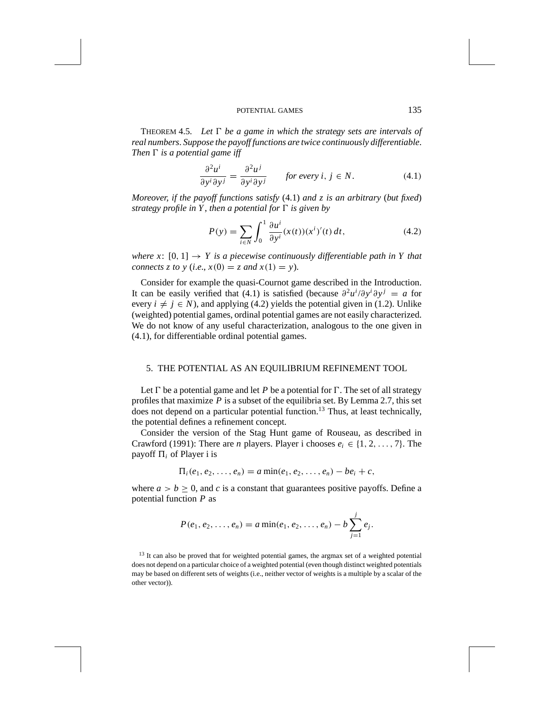THEOREM 4.5. Let  $\Gamma$  be a game in which the strategy sets are intervals of *real numbers*. *Suppose the payoff functions are twice continuously differentiable*. *Then*  $\Gamma$  *is a potential game iff* 

$$
\frac{\partial^2 u^i}{\partial y^i \partial y^j} = \frac{\partial^2 u^j}{\partial y^i \partial y^j} \qquad \text{for every } i, j \in N. \tag{4.1}
$$

*Moreover*, *if the payoff functions satisfy* (4.1) *and z is an arbitrary* (*but fixed*) *strategy profile in Y, then a potential for*  $\Gamma$  *is given by* 

$$
P(y) = \sum_{i \in N} \int_0^1 \frac{\partial u^i}{\partial y^i} (x(t))(x^i)'(t) dt,
$$
 (4.2)

*where x*:  $[0, 1] \rightarrow Y$  *is a piecewise continuously differentiable path in Y that connects z to y* (*i.e.*,  $x(0) = z$  *and*  $x(1) = y$ ).

Consider for example the quasi-Cournot game described in the Introduction. It can be easily verified that (4.1) is satisfied (because  $\partial^2 u^i / \partial y^i \partial y^j = a$  for every  $i \neq j \in N$ ), and applying (4.2) yields the potential given in (1.2). Unlike (weighted) potential games, ordinal potential games are not easily characterized. We do not know of any useful characterization, analogous to the one given in (4.1), for differentiable ordinal potential games.

### 5. THE POTENTIAL AS AN EQUILIBRIUM REFINEMENT TOOL

Let  $\Gamma$  be a potential game and let *P* be a potential for  $\Gamma$ . The set of all strategy profiles that maximize  $P$  is a subset of the equilibria set. By Lemma 2.7, this set does not depend on a particular potential function.<sup>13</sup> Thus, at least technically, the potential defines a refinement concept.

Consider the version of the Stag Hunt game of Rouseau, as described in Crawford (1991): There are *n* players. Player i chooses  $e_i \in \{1, 2, \ldots, 7\}$ . The payoff  $\Pi_i$  of Player i is

$$
\Pi_i(e_1, e_2, \ldots, e_n) = a \min(e_1, e_2, \ldots, e_n) - be_i + c,
$$

where  $a > b \ge 0$ , and *c* is a constant that guarantees positive payoffs. Define a potential function *P* as

$$
P(e_1, e_2, \ldots, e_n) = a \min(e_1, e_2, \ldots, e_n) - b \sum_{j=1}^{j} e_j.
$$

<sup>13</sup> It can also be proved that for weighted potential games, the argmax set of a weighted potential does not depend on a particular choice of a weighted potential (even though distinct weighted potentials may be based on different sets of weights (i.e., neither vector of weights is a multiple by a scalar of the other vector)).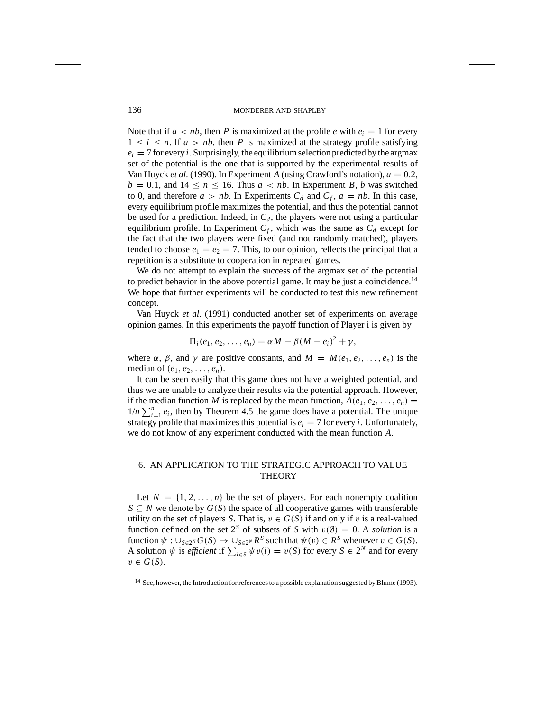Note that if  $a < nb$ , then *P* is maximized at the profile *e* with  $e_i = 1$  for every  $1 \leq i \leq n$ . If  $a > nb$ , then *P* is maximized at the strategy profile satisfying  $e_i = 7$  for every *i*. Surprisingly, the equilibrium selection predicted by the argmax set of the potential is the one that is supported by the experimental results of Van Huyck *et al.* (1990). In Experiment *A* (using Crawford's notation),  $a = 0.2$ ,  $b = 0.1$ , and  $14 \le n \le 16$ . Thus  $a < nb$ . In Experiment *B*, *b* was switched to 0, and therefore  $a > nb$ . In Experiments  $C_d$  and  $C_f$ ,  $a = nb$ . In this case, every equilibrium profile maximizes the potential, and thus the potential cannot be used for a prediction. Indeed, in  $C_d$ , the players were not using a particular equilibrium profile. In Experiment  $C_f$ , which was the same as  $C_d$  except for the fact that the two players were fixed (and not randomly matched), players tended to choose  $e_1 = e_2 = 7$ . This, to our opinion, reflects the principal that a repetition is a substitute to cooperation in repeated games.

We do not attempt to explain the success of the argmax set of the potential to predict behavior in the above potential game. It may be just a coincidence.<sup>14</sup> We hope that further experiments will be conducted to test this new refinement concept.

Van Huyck *et al*. (1991) conducted another set of experiments on average opinion games. In this experiments the payoff function of Player i is given by

$$
\Pi_i(e_1,e_2,\ldots,e_n)=\alpha M-\beta(M-e_i)^2+\gamma,
$$

where  $\alpha$ ,  $\beta$ , and  $\gamma$  are positive constants, and  $M = M(e_1, e_2, \ldots, e_n)$  is the median of  $(e_1, e_2, \ldots, e_n)$ .

It can be seen easily that this game does not have a weighted potential, and thus we are unable to analyze their results via the potential approach. However, if the median function *M* is replaced by the mean function,  $A(e_1, e_2, \ldots, e_n)$  =  $1/n \sum_{i=1}^{n} e_i$ , then by Theorem 4.5 the game does have a potential. The unique strategy profile that maximizes this potential is  $e_i = 7$  for every *i*. Unfortunately, we do not know of any experiment conducted with the mean function *A*.

## 6. AN APPLICATION TO THE STRATEGIC APPROACH TO VALUE **THEORY**

Let  $N = \{1, 2, ..., n\}$  be the set of players. For each nonempty coalition *S* ⊂ *N* we denote by *G*(*S*) the space of all cooperative games with transferable utility on the set of players *S*. That is,  $v \in G(S)$  if and only if *v* is a real-valued function defined on the set  $2^S$  of subsets of *S* with  $v(\emptyset) = 0$ . A *solution* is a function  $\psi : \bigcup_{S \in 2^N} G(S) \to \bigcup_{S \in 2^N} R^S$  such that  $\psi(v) \in R^S$  whenever  $v \in G(S)$ . A solution  $\psi$  is *efficient* if  $\sum_{i \in S} \psi v(i) = v(S)$  for every  $S \in 2^N$  and for every  $v \in G(S)$ .

<sup>&</sup>lt;sup>14</sup> See, however, the Introduction for references to a possible explanation suggested by Blume (1993).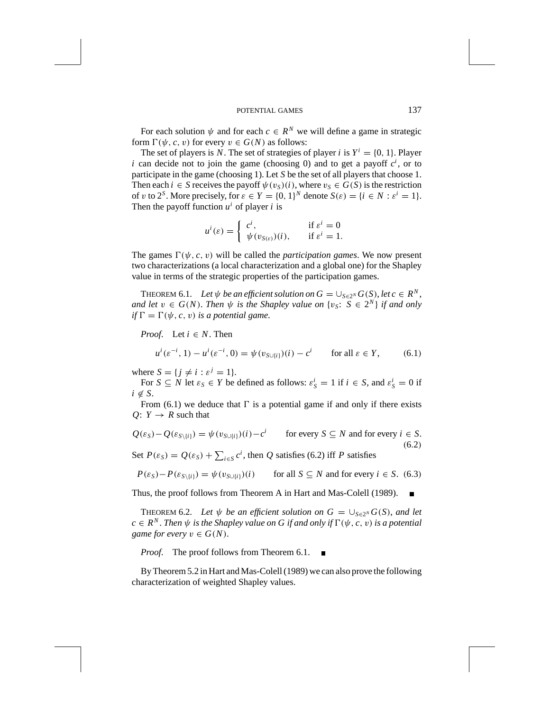For each solution  $\psi$  and for each  $c \in \mathbb{R}^N$  we will define a game in strategic form  $\Gamma(\psi, c, v)$  for every  $v \in G(N)$  as follows:

The set of players is *N*. The set of strategies of player *i* is  $Y^i = \{0, 1\}$ . Player *i* can decide not to join the game (choosing 0) and to get a payoff  $c^i$ , or to participate in the game (choosing 1). Let *S* be the set of all players that choose 1. Then each  $i \in S$  receives the payoff  $\psi(v_S)(i)$ , where  $v_S \in G(S)$  is the restriction of *v* to  $2^S$ . More precisely, for  $\varepsilon \in Y = \{0, 1\}^N$  denote  $S(\varepsilon) = \{i \in N : \varepsilon^i = 1\}$ . Then the payoff function  $u^i$  of player *i* is

$$
u^{i}(\varepsilon) = \begin{cases} c^{i}, & \text{if } \varepsilon^{i} = 0\\ \psi(v_{S(\varepsilon)})(i), & \text{if } \varepsilon^{i} = 1. \end{cases}
$$

The games  $\Gamma(\psi, c, v)$  will be called the *participation games*. We now present two characterizations (a local characterization and a global one) for the Shapley value in terms of the strategic properties of the participation games.

THEOREM 6.1. Let  $\psi$  be an efficient solution on  $G = \bigcup_{S \in 2^N} G(S)$ , let  $c \in R^N$ , *and let*  $v \in G(N)$ . *Then*  $\psi$  *is the Shapley value on*  $\{v_S : S \in 2^N\}$  *if and only*  $if \Gamma = \Gamma(\psi, c, v)$  *is a potential game.* 

*Proof.* Let  $i \in N$ . Then

$$
u^{i}(\varepsilon^{-i}, 1) - u^{i}(\varepsilon^{-i}, 0) = \psi(v_{S \cup \{i\}})(i) - c^{i} \quad \text{for all } \varepsilon \in Y, \tag{6.1}
$$

where  $S = \{j \neq i : \varepsilon^{j} = 1\}.$ 

For  $S \subseteq N$  let  $\varepsilon_S \in Y$  be defined as follows:  $\varepsilon_S^i = 1$  if  $i \in S$ , and  $\varepsilon_S^i = 0$  if  $i \notin S$ .

From (6.1) we deduce that  $\Gamma$  is a potential game if and only if there exists  $Q: Y \rightarrow R$  such that

$$
Q(\varepsilon_S) - Q(\varepsilon_{S\setminus\{i\}}) = \psi(v_{S\cup\{i\}})(i) - c^i \quad \text{for every } S \subseteq N \text{ and for every } i \in S.
$$
  
\n
$$
S \subseteq N \text{ and for every } i \in S.
$$
  
\n
$$
(6.2)
$$

Set  $P(\varepsilon_S) = Q(\varepsilon_S) + \sum_{i \in S} c^i$ , then *Q* satisfies (6.2) iff *P* satisfies

 $P(\varepsilon_S) - P(\varepsilon_{S\setminus\{i\}}) = \psi(v_{S\cup\{i\}})(i)$  for all  $S \subseteq N$  and for every  $i \in S$ . (6.3)

Thus, the proof follows from Theorem A in Hart and Mas-Colell (1989).

THEOREM 6.2. Let  $\psi$  be an efficient solution on  $G = \bigcup_{S \in 2^N} G(S)$ , and let  $c \in \mathbb{R}^N$ . *Then*  $\psi$  *is the Shapley value on G if and only if*  $\Gamma(\psi, c, v)$  *is a potential game for every*  $v \in G(N)$ .

*Proof*. The proof follows from Theorem 6.1.

By Theorem 5.2 in Hart and Mas-Colell (1989) we can also prove the following characterization of weighted Shapley values.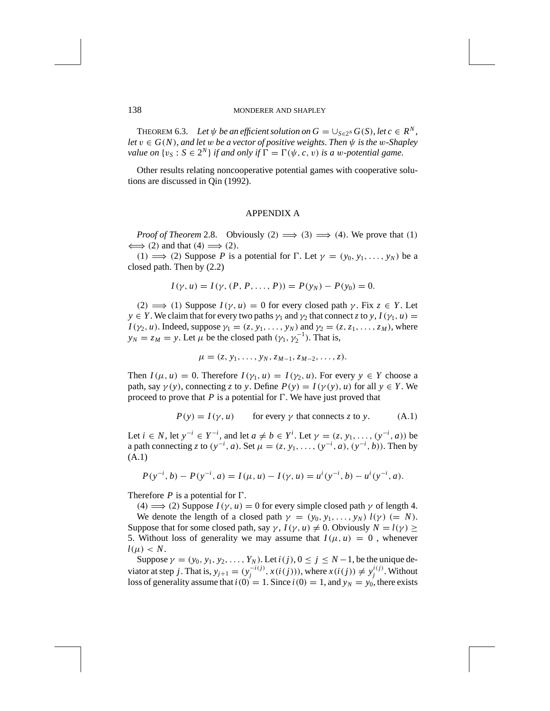THEOREM 6.3. Let  $\psi$  be an efficient solution on  $G = \bigcup_{S \in 2^N} G(S)$ , let  $c \in R^N$ , *let*  $v \in G(N)$ , *and let w be a vector of positive weights. Then*  $\psi$  *is the w-Shapley value on*  $\{v_S : S \in 2^N\}$  *if and only if*  $\Gamma = \Gamma(\psi, c, v)$  *is a w-potential game.* 

Other results relating noncooperative potential games with cooperative solutions are discussed in Qin (1992).

#### APPENDIX A

*Proof of Theorem* 2.8. Obviously  $(2) \implies (3) \implies (4)$ . We prove that  $(1)$  $\iff$  (2) and that (4)  $\Longrightarrow$  (2).

 $(1) \implies (2)$  Suppose *P* is a potential for *D*. Let  $\gamma = (y_0, y_1, \ldots, y_N)$  be a closed path. Then by (2.2)

$$
I(\gamma, u) = I(\gamma, (P, P, \dots, P)) = P(y_N) - P(y_0) = 0.
$$

 $(2) \implies (1)$  Suppose  $I(\gamma, u) = 0$  for every closed path  $\gamma$ . Fix  $z \in Y$ . Let *y*  $\in$  *Y*. We claim that for every two paths  $\gamma_1$  and  $\gamma_2$  that connect *z* to *y*,  $I(\gamma_1, u)$  =  $I(\gamma_2, u)$ . Indeed, suppose  $\gamma_1 = (z, y_1, \ldots, y_N)$  and  $\gamma_2 = (z, z_1, \ldots, z_M)$ , where  $y_N = z_M = y$ . Let  $\mu$  be the closed path  $(\gamma_1, \gamma_2^{-1})$ . That is,

$$
\mu = (z, y_1, \ldots, y_N, z_{M-1}, z_{M-2}, \ldots, z).
$$

Then  $I(\mu, u) = 0$ . Therefore  $I(\gamma_1, u) = I(\gamma_2, u)$ . For every  $y \in Y$  choose a path, say  $\gamma(y)$ , connecting *z* to *y*. Define  $P(y) = I(\gamma(y), u)$  for all  $y \in Y$ . We proceed to prove that  $P$  is a potential for  $\Gamma$ . We have just proved that

$$
P(y) = I(y, u)
$$
 for every  $\gamma$  that connects z to y. (A.1)

Let  $i \in N$ , let  $y^{-i} \in Y^{-i}$ , and let  $a \neq b \in Y^{i}$ . Let  $\gamma = (z, y_1, \dots, (y^{-i}, a))$  be a path connecting z to  $(y^{-i}, a)$ . Set  $\mu = (z, y_1, ..., (y^{-i}, a), (y^{-i}, b))$ . Then by (A.1)

$$
P(y^{-i}, b) - P(y^{-i}, a) = I(\mu, u) - I(\gamma, u) = u^{i}(y^{-i}, b) - u^{i}(y^{-i}, a).
$$

Therefore  $P$  is a potential for  $\Gamma$ .

 $(4) \implies (2)$  Suppose  $I(\gamma, u) = 0$  for every simple closed path  $\gamma$  of length 4. We denote the length of a closed path  $\gamma = (y_0, y_1, \ldots, y_N)$   $l(\gamma)$  (= *N*). Suppose that for some closed path, say  $\gamma$ ,  $I(\gamma, u) \neq 0$ . Obviously  $N = l(\gamma) \geq$ 5. Without loss of generality we may assume that  $I(\mu, u) = 0$ , whenever  $l(\mu) < N$ .

Suppose  $\gamma = (y_0, y_1, y_2, \dots, Y_N)$ . Let  $i(j), 0 \le j \le N-1$ , be the unique deviator at step j. That is,  $y_{j+1} = (y_j^{-i(j)}, x(i(j))),$  where  $x(i(j)) \neq y_j^{i(j)}$ . Without loss of generality assume that  $i(0) = 1$ . Since  $i(0) = 1$ , and  $y_N = y_0$ , there exists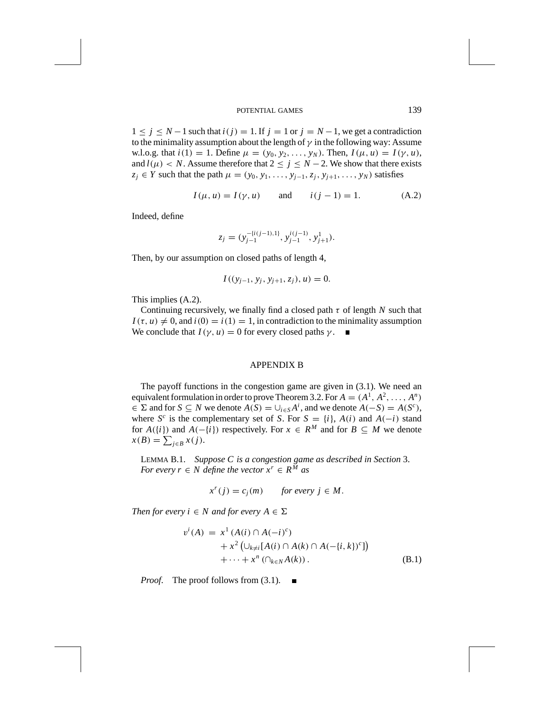1 ≤ *j* ≤ *N* − 1 such that *i*(*j*) = 1. If *j* = 1 or *j* = *N* − 1, we get a contradiction to the minimality assumption about the length of  $\gamma$  in the following way: Assume w.l.o.g. that  $i(1) = 1$ . Define  $\mu = (y_0, y_2, \ldots, y_N)$ . Then,  $I(\mu, u) = I(\gamma, u)$ , and  $l(\mu) < N$ . Assume therefore that  $2 \le j \le N-2$ . We show that there exists  $z_j \in Y$  such that the path  $\mu = (y_0, y_1, \ldots, y_{j-1}, z_j, y_{j+1}, \ldots, y_N)$  satisfies

$$
I(\mu, u) = I(\gamma, u)
$$
 and  $i(j - 1) = 1.$  (A.2)

Indeed, define

$$
z_j = (y_{j-1}^{-\{i(j-1),1\}}, y_{j-1}^{i(j-1)}, y_{j+1}^1).
$$

Then, by our assumption on closed paths of length 4,

$$
I((y_{j-1}, y_j, y_{j+1}, z_j), u) = 0.
$$

This implies (A.2).

Continuing recursively, we finally find a closed path  $\tau$  of length  $N$  such that  $I(\tau, u) \neq 0$ , and  $i(0) = i(1) = 1$ , in contradiction to the minimality assumption We conclude that  $I(\gamma, u) = 0$  for every closed paths  $\gamma$ .

#### APPENDIX B

The payoff functions in the congestion game are given in (3.1). We need an equivalent formulation in order to prove Theorem 3.2. For  $A = (A^1, A^2, \ldots, A^n)$  $\in \Sigma$  and for  $S \subseteq N$  we denote  $A(S) = \cup_{i \in S} A^i$ , and we denote  $A(-S) = A(S^c)$ , where  $S^c$  is the complementary set of *S*. For  $S = \{i\}$ ,  $A(i)$  and  $A(-i)$  stand for  $A({i})$  and  $A({-i})$  respectively. For  $x \in R^M$  and for  $B \subseteq M$  we denote  $x(B) = \sum_{j \in B} x(j).$ 

LEMMA B.1. *Suppose C is a congestion game as described in Section* 3. *For every r*  $\in$  *N* define the vector  $x^r \in R^M$  as

$$
x^r(j) = c_j(m) \qquad \text{for every } j \in M.
$$

*Then for every i*  $\in$  *N and for every*  $A \in \Sigma$ 

$$
v^{i}(A) = x^{1} (A(i) \cap A(-i)^{c})
$$
  
+  $x^{2} (\cup_{k \neq i} [A(i) \cap A(k) \cap A(-\{i, k\})^{c}])$   
+  $\cdots + x^{n} (\cap_{k \in N} A(k)).$  (B.1)

*Proof.* The proof follows from  $(3.1)$ .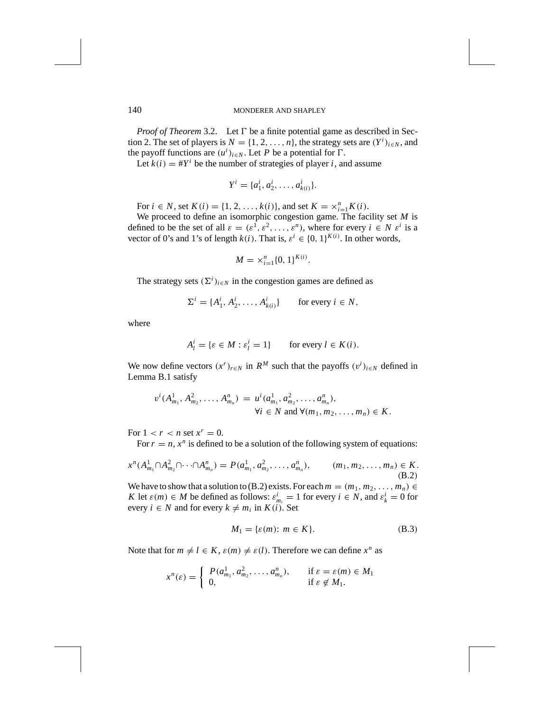*Proof of Theorem* 3.2. Let  $\Gamma$  be a finite potential game as described in Section 2. The set of players is  $N = \{1, 2, ..., n\}$ , the strategy sets are  $(Y^i)_{i \in N}$ , and the payoff functions are  $(u^i)_{i \in N}$ . Let *P* be a potential for  $\Gamma$ .

Let  $k(i) = #Y^i$  be the number of strategies of player *i*, and assume

$$
Y^i = \{a_1^i, a_2^i, \dots, a_{k(i)}^i\}.
$$

For  $i \in N$ , set  $K(i) = \{1, 2, ..., k(i)\}$ , and set  $K = \times_{i=1}^{n} K(i)$ .

We proceed to define an isomorphic congestion game. The facility set *M* is defined to be the set of all  $\varepsilon = (\varepsilon^1, \varepsilon^2, \dots, \varepsilon^n)$ , where for every  $i \in N \varepsilon^i$  is a vector of 0's and 1's of length  $k(i)$ . That is,  $\varepsilon^{i} \in \{0, 1\}^{K(i)}$ . In other words,

$$
M = \times_{i=1}^{n} \{0, 1\}^{K(i)}.
$$

The strategy sets  $(\Sigma^i)_{i \in N}$  in the congestion games are defined as

$$
\Sigma^i = \{A_1^i, A_2^i, \dots, A_{k(i)}^i\} \quad \text{for every } i \in N,
$$

where

$$
A_l^i = \{ \varepsilon \in M : \varepsilon_l^i = 1 \} \qquad \text{for every } l \in K(i).
$$

We now define vectors  $(x^r)_{r \in N}$  in  $R^M$  such that the payoffs  $(v^i)_{i \in N}$  defined in Lemma B.1 satisfy

$$
v^{i}(A_{m_1}^1, A_{m_2}^2, \dots, A_{m_n}^n) = u^{i}(a_{m_1}^1, a_{m_2}^2, \dots, a_{m_n}^n),
$$
  
\n
$$
\forall i \in N \text{ and } \forall (m_1, m_2, \dots, m_n) \in K.
$$

For  $1 < r < n$  set  $x^r = 0$ .

For  $r = n$ ,  $x^n$  is defined to be a solution of the following system of equations:

$$
x^{n}(A_{m_1}^1 \cap A_{m_2}^2 \cap \cdots \cap A_{m_n}^n) = P(a_{m_1}^1, a_{m_2}^2, \ldots, a_{m_n}^n), \qquad (m_1, m_2, \ldots, m_n) \in K.
$$
\n(B.2)

We have to show that a solution to (B.2) exists. For each  $m = (m_1, m_2, \ldots, m_n) \in$ *K* let  $\varepsilon(m) \in M$  be defined as follows:  $\varepsilon^i_{m_i} = 1$  for every  $i \in N$ , and  $\varepsilon^i_k = 0$  for every  $i \in N$  and for every  $k \neq m_i$  in  $K(i)$ . Set

$$
M_1 = \{ \varepsilon(m) : m \in K \}. \tag{B.3}
$$

Note that for  $m \neq l \in K$ ,  $\varepsilon(m) \neq \varepsilon(l)$ . Therefore we can define  $x^n$  as

$$
x^{n}(\varepsilon) = \begin{cases} P(a_{m_1}^1, a_{m_2}^2, \dots, a_{m_n}^n), & \text{if } \varepsilon = \varepsilon(m) \in M_1 \\ 0, & \text{if } \varepsilon \notin M_1. \end{cases}
$$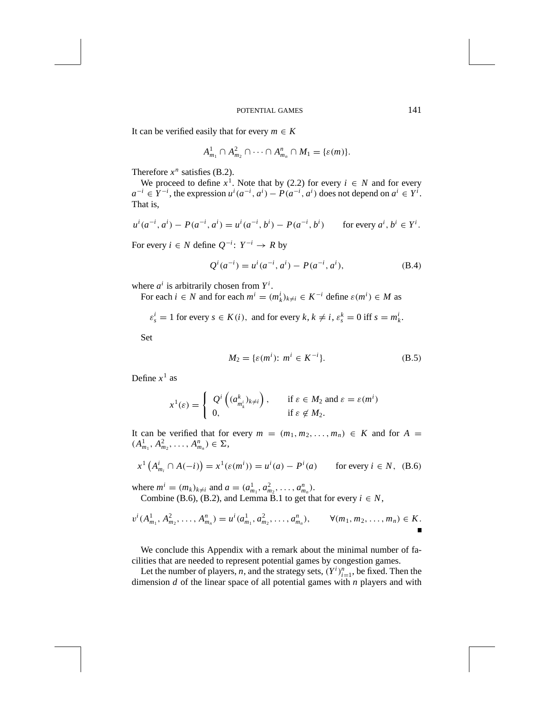It can be verified easily that for every  $m \in K$ 

$$
A_{m_1}^1 \cap A_{m_2}^2 \cap \cdots \cap A_{m_n}^n \cap M_1 = \{\varepsilon(m)\}.
$$

Therefore  $x^n$  satisfies (B.2).

We proceed to define  $x^1$ . Note that by (2.2) for every  $i \in N$  and for every  $a^{-i} \in Y^{-i}$ , the expression  $u^{i}(a^{-i}, a^{i}) - P(a^{-i}, a^{i})$  does not depend on  $a^{i} \in Y^{i}$ . That is,

$$
u^{i}(a^{-i}, a^{i}) - P(a^{-i}, a^{i}) = u^{i}(a^{-i}, b^{i}) - P(a^{-i}, b^{i}) \quad \text{for every } a^{i}, b^{i} \in Y^{i}.
$$

For every  $i \in N$  define  $Q^{-i}$ :  $Y^{-i} \to R$  by

$$
Q^{i}(a^{-i}) = u^{i}(a^{-i}, a^{i}) - P(a^{-i}, a^{i}),
$$
\n(B.4)

where  $a^i$  is arbitrarily chosen from  $Y^i$ .

For each  $i \in N$  and for each  $m^i = (m^i_k)_{k \neq i} \in K^{-i}$  define  $\varepsilon(m^i) \in M$  as

 $\varepsilon_s^i = 1$  for every  $s \in K(i)$ , and for every  $k, k \neq i$ ,  $\varepsilon_s^k = 0$  iff  $s = m_k^i$ .

Set

$$
M_2 = \{ \varepsilon(m^i) : m^i \in K^{-i} \}. \tag{B.5}
$$

Define  $x^1$  as

$$
x^{1}(\varepsilon) = \begin{cases} Q^{i} \left( (a^{k}_{m^{i}_{\varepsilon}})_{k \neq i} \right), & \text{if } \varepsilon \in M_{2} \text{ and } \varepsilon = \varepsilon(m^{i}) \\ 0, & \text{if } \varepsilon \notin M_{2}. \end{cases}
$$

It can be verified that for every  $m = (m_1, m_2, \ldots, m_n) \in K$  and for  $A =$  $(A_{m_1}^1, A_{m_2}^2, \ldots, A_{m_n}^n) \in \Sigma,$ 

$$
x^{1} (A_{m_{i}}^{i} \cap A(-i)) = x^{1} (\varepsilon(m^{i})) = u^{i}(a) - P^{i}(a) \quad \text{for every } i \in N, \text{ (B.6)}
$$

where  $m^i = (m_k)_{k \neq i}$  and  $a = (a_{m_1}^1, a_{m_2}^2, \ldots, a_{m_n}^n)$ .

Combine (B.6), (B.2), and Lemma B.1 to get that for every  $i \in N$ ,

$$
v^{i}(A_{m_1}^1, A_{m_2}^2, \ldots, A_{m_n}^n) = u^{i}(a_{m_1}^1, a_{m_2}^2, \ldots, a_{m_n}^n), \qquad \forall (m_1, m_2, \ldots, m_n) \in K.
$$

We conclude this Appendix with a remark about the minimal number of facilities that are needed to represent potential games by congestion games.

Let the number of players, *n*, and the strategy sets,  $(Y^i)_{i=1}^n$ , be fixed. Then the dimension *d* of the linear space of all potential games with *n* players and with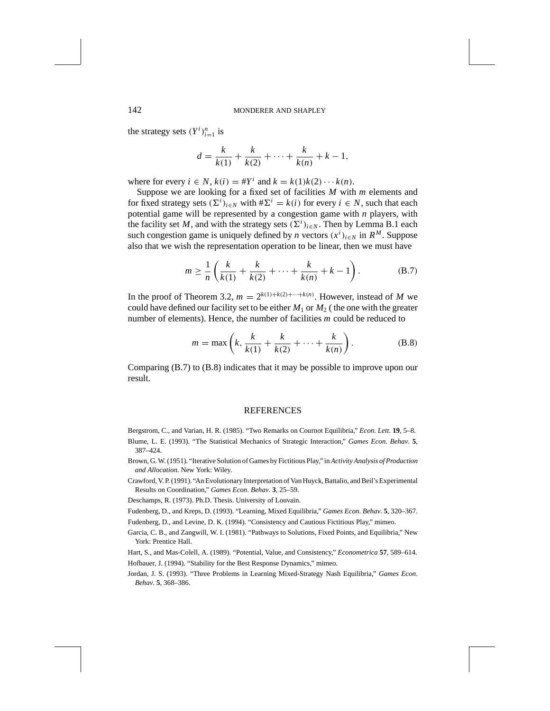the strategy sets  $(Y^i)_{i=1}^n$  is

$$
d = \frac{k}{k(1)} + \frac{k}{k(2)} + \dots + \frac{k}{k(n)} + k - 1,
$$

where for every  $i \in N$ ,  $k(i) = #Y^i$  and  $k = k(1)k(2) \cdots k(n)$ .

Suppose we are looking for a fixed set of facilities *M* with *m* elements and for fixed strategy sets  $(\Sigma^i)_{i \in N}$  with  $\#\Sigma^i = k(i)$  for every  $i \in N$ , such that each potential game will be represented by a congestion game with *n* players, with the facility set *M*, and with the strategy sets  $(\Sigma^{i})_{i \in N}$ . Then by Lemma B.1 each such congestion game is uniquely defined by *n* vectors  $(x^i)_{i \in N}$  in  $R^M$ . Suppose also that we wish the representation operation to be linear, then we must have

$$
m \ge \frac{1}{n} \left( \frac{k}{k(1)} + \frac{k}{k(2)} + \dots + \frac{k}{k(n)} + k - 1 \right). \tag{B.7}
$$

In the proof of Theorem 3.2,  $m = 2^{k(1) + k(2) + \cdots + k(n)}$ . However, instead of *M* we could have defined our facility set to be either  $M_1$  or  $M_2$  (the one with the greater number of elements). Hence, the number of facilities *m* could be reduced to

$$
m = \max\left(k, \frac{k}{k(1)} + \frac{k}{k(2)} + \dots + \frac{k}{k(n)}\right).
$$
 (B.8)

Comparing (B.7) to (B.8) indicates that it may be possible to improve upon our result.

#### **REFERENCES**

Bergstrom, C., and Varian, H. R. (1985). "Two Remarks on Cournot Equilibria," *Econ*. *Lett*. **19**, 5–8.

- Blume, L. E. (1993). "The Statistical Mechanics of Strategic Interaction," *Games Econ*. *Behav*. **5**, 387–424.
- Brown, G. W. (1951). "Iterative Solution of Games by Fictitious Play," in *Activity Analysis of Production and Allocation*. New York: Wiley.
- Crawford, V. P. (1991). "An Evolutionary Interpretation of Van Huyck, Battalio, and Beil's Experimental Results on Coordination," *Games Econ*. *Behav*. **3**, 25–59.
- Deschamps, R. (1973). Ph.D. Thesis. University of Louvain.
- Fudenberg, D., and Kreps, D. (1993). "Learning, Mixed Equilibria," *Games Econ*. *Behav*. **5**, 320–367.
- Fudenberg, D., and Levine, D. K. (1994). "Consistency and Cautious Fictitious Play," mimeo.
- Garcia, C. B., and Zangwill, W. I. (1981). "Pathways to Solutions, Fixed Points, and Equilibria," New York: Prentice Hall.
- Hart, S., and Mas-Colell, A. (1989). "Potential, Value, and Consistency," *Econometrica* **57**, 589–614. Hofbauer, J. (1994). "Stability for the Best Response Dynamics," mimeo.
- Jordan, J. S. (1993). "Three Problems in Learning Mixed-Strategy Nash Equilibria," *Games Econ*. *Behav*. **5**, 368–386.